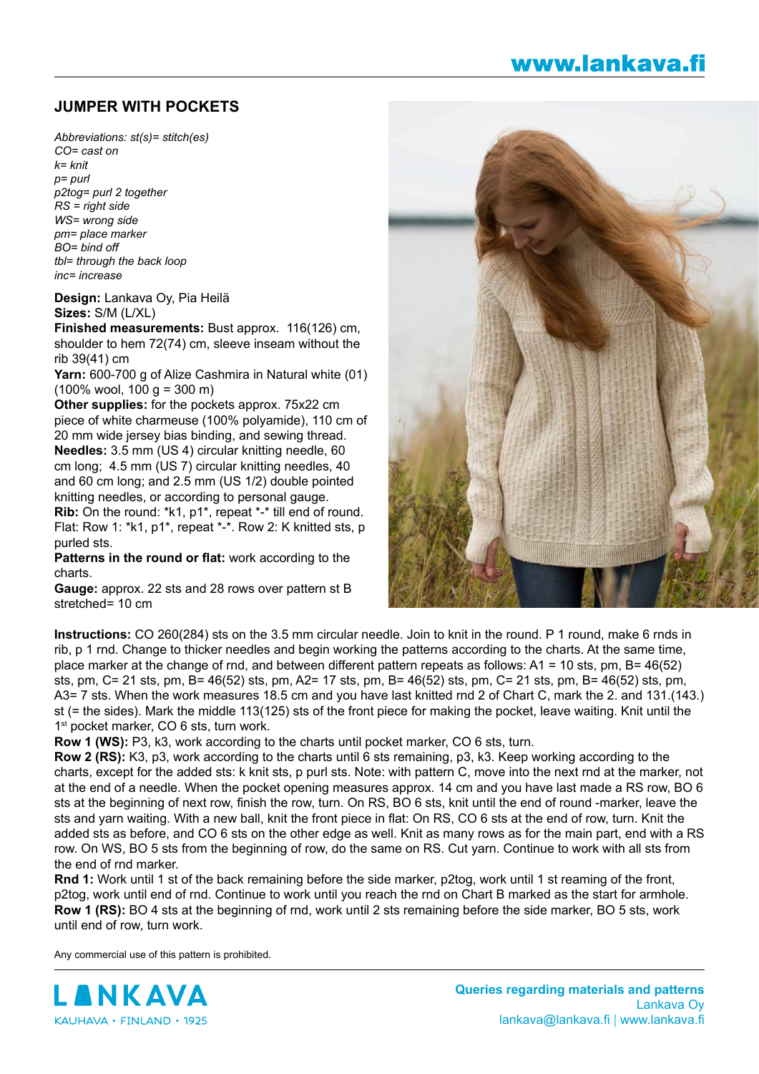## **JUMPER WITH POCKETS**

*Abbreviations: st(s)= stitch(es) CO= cast on k= knit p= purl p2tog= purl 2 together RS = right side WS= wrong side pm= place marker BO= bind off tbl= through the back loop inc= increase*

**Design:** Lankava Oy, Pia Heilä **Sizes:** S/M (L/XL)

**Finished measurements:** Bust approx. 116(126) cm, shoulder to hem 72(74) cm, sleeve inseam without the rib 39(41) cm

**Yarn:** 600-700 g of Alize Cashmira in Natural white (01)  $(100\% \text{ wool}, 100 \text{ g} = 300 \text{ m})$ 

**Other supplies:** for the pockets approx. 75x22 cm piece of white charmeuse (100% polyamide), 110 cm of 20 mm wide jersey bias binding, and sewing thread. **Needles:** 3.5 mm (US 4) circular knitting needle, 60 cm long; 4.5 mm (US 7) circular knitting needles, 40 and 60 cm long; and 2.5 mm (US 1/2) double pointed knitting needles, or according to personal gauge. **Rib:** On the round: \*k1, p1\*, repeat \*-\* till end of round. Flat: Row 1: \*k1, p1\*, repeat \*-\*. Row 2: K knitted sts, p purled sts.

**Patterns in the round or flat:** work according to the charts.

**Gauge:** approx. 22 sts and 28 rows over pattern st B stretched= 10 cm



www.lankava.fi

**Instructions:** CO 260(284) sts on the 3.5 mm circular needle. Join to knit in the round. P 1 round, make 6 rnds in rib, p 1 rnd. Change to thicker needles and begin working the patterns according to the charts. At the same time, place marker at the change of rnd, and between different pattern repeats as follows: A1 = 10 sts, pm, B= 46(52) sts, pm, C= 21 sts, pm, B= 46(52) sts, pm, A2= 17 sts, pm, B= 46(52) sts, pm, C= 21 sts, pm, B= 46(52) sts, pm, A3= 7 sts. When the work measures 18.5 cm and you have last knitted rnd 2 of Chart C, mark the 2. and 131.(143.) st (= the sides). Mark the middle 113(125) sts of the front piece for making the pocket, leave waiting. Knit until the 1<sup>st</sup> pocket marker, CO 6 sts, turn work.

**Row 1 (WS):** P3, k3, work according to the charts until pocket marker, CO 6 sts, turn.

**Row 2 (RS):** K3, p3, work according to the charts until 6 sts remaining, p3, k3. Keep working according to the charts, except for the added sts: k knit sts, p purl sts. Note: with pattern C, move into the next rnd at the marker, not at the end of a needle. When the pocket opening measures approx. 14 cm and you have last made a RS row, BO 6 sts at the beginning of next row, finish the row, turn. On RS, BO 6 sts, knit until the end of round -marker, leave the sts and yarn waiting. With a new ball, knit the front piece in flat: On RS, CO 6 sts at the end of row, turn. Knit the added sts as before, and CO 6 sts on the other edge as well. Knit as many rows as for the main part, end with a RS row. On WS, BO 5 sts from the beginning of row, do the same on RS. Cut yarn. Continue to work with all sts from the end of rnd marker.

**Rnd 1:** Work until 1 st of the back remaining before the side marker, p2tog, work until 1 st reaming of the front, p2tog, work until end of rnd. Continue to work until you reach the rnd on Chart B marked as the start for armhole. **Row 1 (RS):** BO 4 sts at the beginning of rnd, work until 2 sts remaining before the side marker. BO 5 sts, work until end of row, turn work.

Any commercial use of this pattern is prohibited.

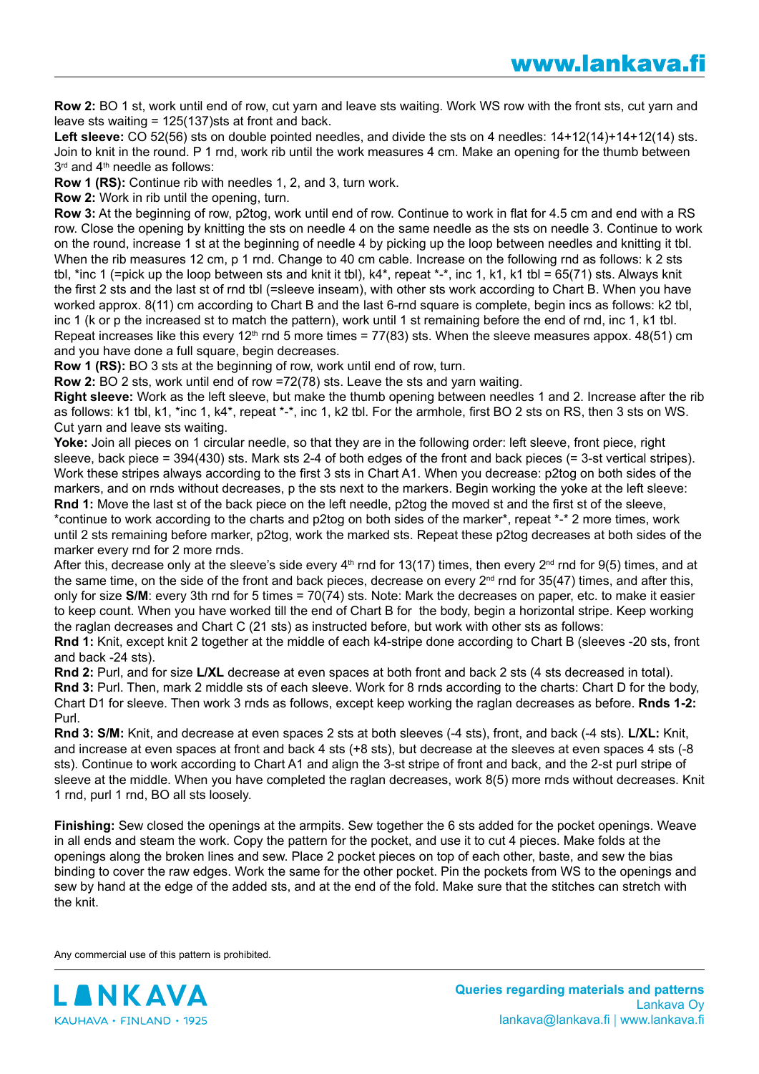**Row 2:** BO 1 st, work until end of row, cut yarn and leave sts waiting. Work WS row with the front sts, cut yarn and leave sts waiting = 125(137)sts at front and back.

Left sleeve: CO 52(56) sts on double pointed needles, and divide the sts on 4 needles:  $14+12(14)+14+12(14)$  sts. Join to knit in the round. P 1 rnd, work rib until the work measures 4 cm. Make an opening for the thumb between  $3<sup>rd</sup>$  and  $4<sup>th</sup>$  needle as follows:

**Row 1 (RS):** Continue rib with needles 1, 2, and 3, turn work.

**Row 2:** Work in rib until the opening, turn.

**Row 3:** At the beginning of row, p2tog, work until end of row. Continue to work in flat for 4.5 cm and end with a RS row. Close the opening by knitting the sts on needle 4 on the same needle as the sts on needle 3. Continue to work on the round, increase 1 st at the beginning of needle 4 by picking up the loop between needles and knitting it tbl. When the rib measures 12 cm, p 1 rnd. Change to 40 cm cable. Increase on the following rnd as follows: k 2 sts tbl, \*inc 1 (=pick up the loop between sts and knit it tbl),  $k4^*$ , repeat \*-\*, inc 1, k1, k1 tbl = 65(71) sts. Always knit the first 2 sts and the last st of rnd tbl (=sleeve inseam), with other sts work according to Chart B. When you have worked approx. 8(11) cm according to Chart B and the last 6-rnd square is complete, begin incs as follows: k2 tbl, inc 1 (k or p the increased st to match the pattern), work until 1 st remaining before the end of rnd, inc 1, k1 tbl. Repeat increases like this every 12<sup>th</sup> rnd 5 more times = 77(83) sts. When the sleeve measures appox. 48(51) cm and you have done a full square, begin decreases.

**Row 1 (RS):** BO 3 sts at the beginning of row, work until end of row, turn.

**Row 2:** BO 2 sts, work until end of row =72(78) sts. Leave the sts and yarn waiting.

**Right sleeve:** Work as the left sleeve, but make the thumb opening between needles 1 and 2. Increase after the rib as follows: k1 tbl, k1, \*inc 1, k4\*, repeat \*-\*, inc 1, k2 tbl. For the armhole, first BO 2 sts on RS, then 3 sts on WS. Cut yarn and leave sts waiting.

Yoke: Join all pieces on 1 circular needle, so that they are in the following order: left sleeve, front piece, right sleeve, back piece = 394(430) sts. Mark sts 2-4 of both edges of the front and back pieces (= 3-st vertical stripes). Work these stripes always according to the first 3 sts in Chart A1. When you decrease: p2tog on both sides of the markers, and on rnds without decreases, p the sts next to the markers. Begin working the yoke at the left sleeve: **Rnd 1:** Move the last st of the back piece on the left needle, p2tog the moved st and the first st of the sleeve, \*continue to work according to the charts and p2tog on both sides of the marker\*, repeat \*-\* 2 more times, work until 2 sts remaining before marker, p2tog, work the marked sts. Repeat these p2tog decreases at both sides of the marker every rnd for 2 more rnds.

After this, decrease only at the sleeve's side every  $4<sup>th</sup>$  rnd for 13(17) times, then every  $2<sup>nd</sup>$  rnd for 9(5) times, and at the same time, on the side of the front and back pieces, decrease on every 2<sup>nd</sup> rnd for 35(47) times, and after this, only for size **S/M**: every 3th rnd for 5 times = 70(74) sts. Note: Mark the decreases on paper, etc. to make it easier to keep count. When you have worked till the end of Chart B for the body, begin a horizontal stripe. Keep working the raglan decreases and Chart C (21 sts) as instructed before, but work with other sts as follows:

**Rnd 1:** Knit, except knit 2 together at the middle of each k4-stripe done according to Chart B (sleeves -20 sts, front and back -24 sts).

**Rnd 2:** Purl, and for size **L/XL** decrease at even spaces at both front and back 2 sts (4 sts decreased in total). **Rnd 3:** Purl. Then, mark 2 middle sts of each sleeve. Work for 8 rnds according to the charts: Chart D for the body, Chart D1 for sleeve. Then work 3 rnds as follows, except keep working the raglan decreases as before. **Rnds 1-2:** Purl.

**Rnd 3: S/M:** Knit, and decrease at even spaces 2 sts at both sleeves (-4 sts), front, and back (-4 sts). **L/XL:** Knit, and increase at even spaces at front and back 4 sts (+8 sts), but decrease at the sleeves at even spaces 4 sts (-8 sts). Continue to work according to Chart A1 and align the 3-st stripe of front and back, and the 2-st purl stripe of sleeve at the middle. When you have completed the raglan decreases, work 8(5) more rnds without decreases. Knit 1 rnd, purl 1 rnd, BO all sts loosely.

**Finishing:** Sew closed the openings at the armpits. Sew together the 6 sts added for the pocket openings. Weave in all ends and steam the work. Copy the pattern for the pocket, and use it to cut 4 pieces. Make folds at the openings along the broken lines and sew. Place 2 pocket pieces on top of each other, baste, and sew the bias binding to cover the raw edges. Work the same for the other pocket. Pin the pockets from WS to the openings and sew by hand at the edge of the added sts, and at the end of the fold. Make sure that the stitches can stretch with the knit.

Any commercial use of this pattern is prohibited.

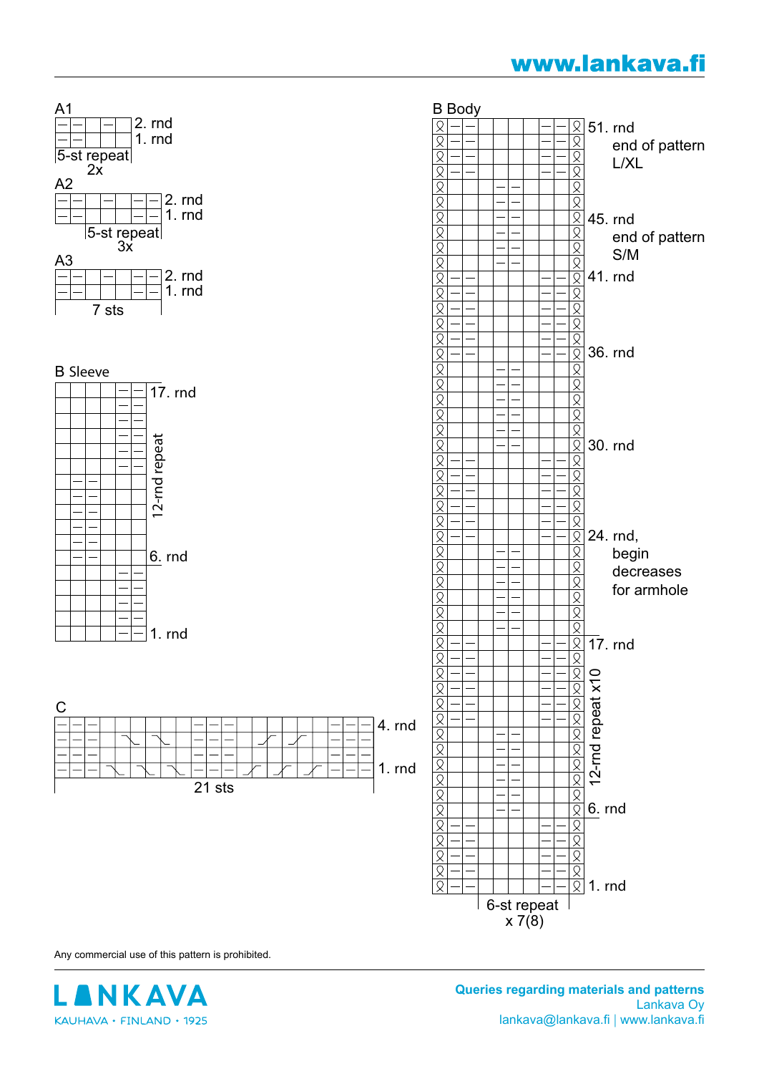## www.lankava.fi



Any commercial use of this pattern is prohibited.